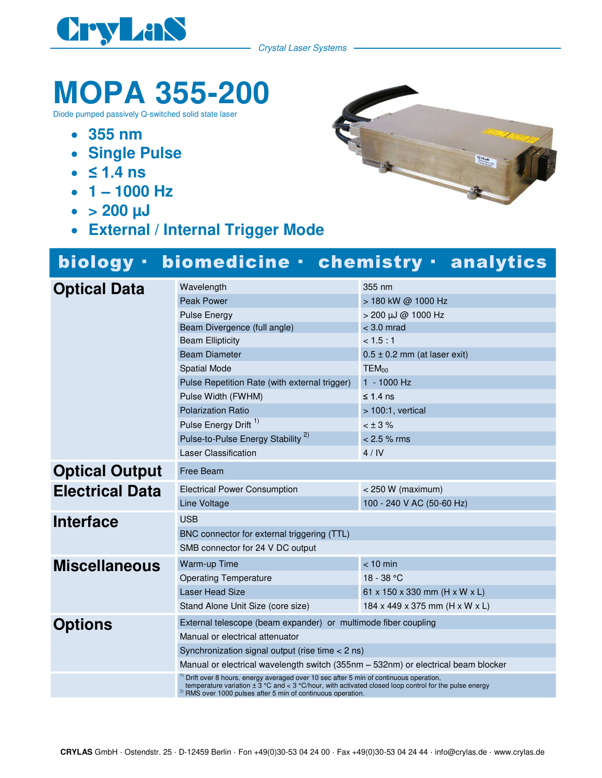

Crystal Laser Systems

## **MOPA 355-200**

Diode pumped passively Q-switched solid state laser

- **355 nm**
- **Single Pulse**
- $\bullet$   $\leq$  1.4 ns
- $\cdot$  1 1000 Hz
- $\bullet$  > 200  $\mu$ J
- **External / Internal Trigger Mode**

## biology · biomedicine · chemistry · analytics

| <b>Optical Data</b>    | Wavelength                                                                                                                                                                                                                                                                       | 355 nm                           |
|------------------------|----------------------------------------------------------------------------------------------------------------------------------------------------------------------------------------------------------------------------------------------------------------------------------|----------------------------------|
|                        | <b>Peak Power</b>                                                                                                                                                                                                                                                                | > 180 kW @ 1000 Hz               |
|                        | <b>Pulse Energy</b>                                                                                                                                                                                                                                                              | > 200 µJ @ 1000 Hz               |
|                        | Beam Divergence (full angle)                                                                                                                                                                                                                                                     | $<$ 3.0 mrad                     |
|                        | <b>Beam Ellipticity</b>                                                                                                                                                                                                                                                          | < 1.5 : 1                        |
|                        | <b>Beam Diameter</b>                                                                                                                                                                                                                                                             | $0.5 \pm 0.2$ mm (at laser exit) |
|                        | <b>Spatial Mode</b>                                                                                                                                                                                                                                                              | <b>TEM</b> <sub>00</sub>         |
|                        | Pulse Repetition Rate (with external trigger)                                                                                                                                                                                                                                    | $1 - 1000$ Hz                    |
|                        | Pulse Width (FWHM)                                                                                                                                                                                                                                                               | $\leq 1.4$ ns                    |
|                        | <b>Polarization Ratio</b>                                                                                                                                                                                                                                                        | $>100:1$ , vertical              |
|                        | Pulse Energy Drift <sup>1)</sup>                                                                                                                                                                                                                                                 | $< \pm 3 \%$                     |
|                        | Pulse-to-Pulse Energy Stability <sup>2)</sup>                                                                                                                                                                                                                                    | $< 2.5 %$ rms                    |
|                        | Laser Classification                                                                                                                                                                                                                                                             | 4/IV                             |
| <b>Optical Output</b>  | Free Beam                                                                                                                                                                                                                                                                        |                                  |
| <b>Electrical Data</b> | <b>Electrical Power Consumption</b>                                                                                                                                                                                                                                              | $< 250 W$ (maximum)              |
|                        | <b>Line Voltage</b>                                                                                                                                                                                                                                                              | 100 - 240 V AC (50-60 Hz)        |
| <b>Interface</b>       | <b>USB</b>                                                                                                                                                                                                                                                                       |                                  |
|                        | BNC connector for external triggering (TTL)                                                                                                                                                                                                                                      |                                  |
|                        | SMB connector for 24 V DC output                                                                                                                                                                                                                                                 |                                  |
| <b>Miscellaneous</b>   | Warm-up Time                                                                                                                                                                                                                                                                     | $< 10$ min                       |
|                        | <b>Operating Temperature</b>                                                                                                                                                                                                                                                     | $18 - 38 °C$                     |
|                        | Laser Head Size                                                                                                                                                                                                                                                                  | 61 x 150 x 330 mm (H x W x L)    |
|                        | Stand Alone Unit Size (core size)                                                                                                                                                                                                                                                | 184 x 449 x 375 mm (H x W x L)   |
| <b>Options</b>         | External telescope (beam expander) or multimode fiber coupling                                                                                                                                                                                                                   |                                  |
|                        | Manual or electrical attenuator                                                                                                                                                                                                                                                  |                                  |
|                        | Synchronization signal output (rise time $<$ 2 ns)                                                                                                                                                                                                                               |                                  |
|                        | Manual or electrical wavelength switch (355nm – 532nm) or electrical beam blocker                                                                                                                                                                                                |                                  |
|                        | $1$ Drift over 8 hours, energy averaged over 10 sec after 5 min of continuous operation,<br>temperature variation $\pm 3$ °C and < 3 °C/hour, with activated closed loop control for the pulse energy<br><sup>2)</sup> RMS over 1000 pulses after 5 min of continuous operation. |                                  |